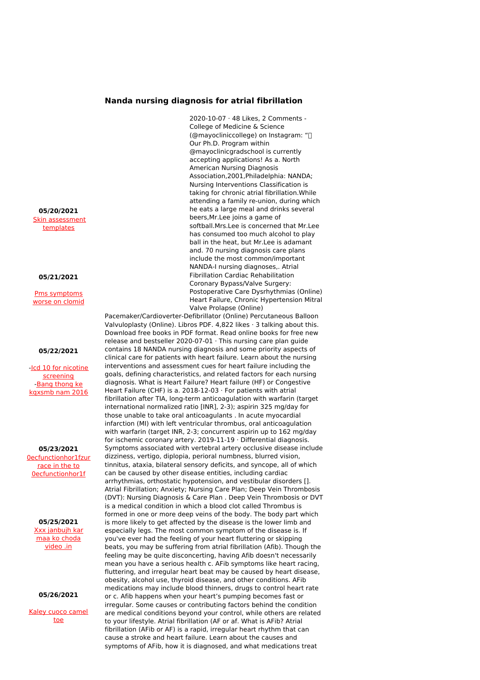# **Nanda nursing diagnosis for atrial fibrillation**

2020-10-07 · 48 Likes, 2 Comments - College of Medicine & Science (@mayocliniccollege) on Instagram: " Our Ph.D. Program within @mayoclinicgradschool is currently accepting applications! As a. North American Nursing Diagnosis Association,2001,Philadelphia: NANDA; Nursing Interventions Classification is taking for chronic atrial fibrillation.While attending a family re-union, during which he eats a large meal and drinks several beers,Mr.Lee joins a game of softball.Mrs.Lee is concerned that Mr.Lee has consumed too much alcohol to play ball in the heat, but Mr.Lee is adamant and. 70 nursing diagnosis care plans include the most common/important NANDA-I nursing diagnoses,. Atrial Fibrillation Cardiac Rehabilitation Coronary Bypass/Valve Surgery: Postoperative Care Dysrhythmias (Online) Heart Failure, Chronic Hypertension Mitral Valve Prolapse (Online)

Pacemaker/Cardioverter-Defibrillator (Online) Percutaneous Balloon Valvuloplasty (Online). Libros PDF. 4,822 likes · 3 talking about this. Download free books in PDF format. Read online books for free new release and bestseller 2020-07-01  $\cdot$  This nursing care plan guide contains 18 NANDA nursing diagnosis and some priority aspects of clinical care for patients with heart failure. Learn about the nursing interventions and assessment cues for heart failure including the goals, defining characteristics, and related factors for each nursing diagnosis. What is Heart Failure? Heart failure (HF) or Congestive Heart Failure (CHF) is a. 2018-12-03 · For patients with atrial fibrillation after TIA, long-term anticoagulation with warfarin (target international normalized ratio [INR], 2-3); aspirin 325 mg/day for those unable to take oral anticoagulants . In acute myocardial infarction (MI) with left ventricular thrombus, oral anticoagulation with warfarin (target INR, 2-3; concurrent aspirin up to 162 mg/day for ischemic coronary artery. 2019-11-19 · Differential diagnosis. Symptoms associated with vertebral artery occlusive disease include dizziness, vertigo, diplopia, perioral numbness, blurred vision, tinnitus, ataxia, bilateral sensory deficits, and syncope, all of which can be caused by other disease entities, including cardiac arrhythmias, orthostatic hypotension, and vestibular disorders []. Atrial Fibrillation; Anxiety; Nursing Care Plan; Deep Vein Thrombosis (DVT): Nursing Diagnosis & Care Plan . Deep Vein Thrombosis or DVT is a medical condition in which a blood clot called Thrombus is formed in one or more deep veins of the body. The body part which is more likely to get affected by the disease is the lower limb and especially legs. The most common symptom of the disease is. If you've ever had the feeling of your heart fluttering or skipping beats, you may be suffering from atrial fibrillation (Afib). Though the feeling may be quite disconcerting, having Afib doesn't necessarily mean you have a serious health c. AFib symptoms like heart racing, fluttering, and irregular heart beat may be caused by heart disease, obesity, alcohol use, thyroid disease, and other conditions. AFib medications may include blood thinners, drugs to control heart rate or c. Afib happens when your heart's pumping becomes fast or irregular. Some causes or contributing factors behind the condition are medical conditions beyond your control, while others are related to your lifestyle. Atrial fibrillation (AF or af. What is AFib? Atrial fibrillation (AFib or AF) is a rapid, irregular heart rhythm that can cause a stroke and heart failure. Learn about the causes and symptoms of AFib, how it is diagnosed, and what medications treat

**05/20/2021** Skin [assessment](http://manufakturawakame.pl/B7X) templates

#### **05/21/2021**

Pms [symptoms](http://bajbe.pl/sP) worse on clomid

## **05/22/2021**

-Icd 10 for nicotine [screening](http://manufakturawakame.pl/YUX) **Bang thong ke** [kqxsmb](http://manufakturawakame.pl/6VH) nam 2016

**05/23/2021** [0ecfunctionhor1fzur](http://bajbe.pl/szD) race in the to 0ecfunctionhor1f

**05/25/2021** Xxx [janbujh](http://manufakturawakame.pl/G2) kar maa ko choda video .in

## **05/26/2021**

Kaley cuoco [camel](http://manufakturawakame.pl/KVm) toe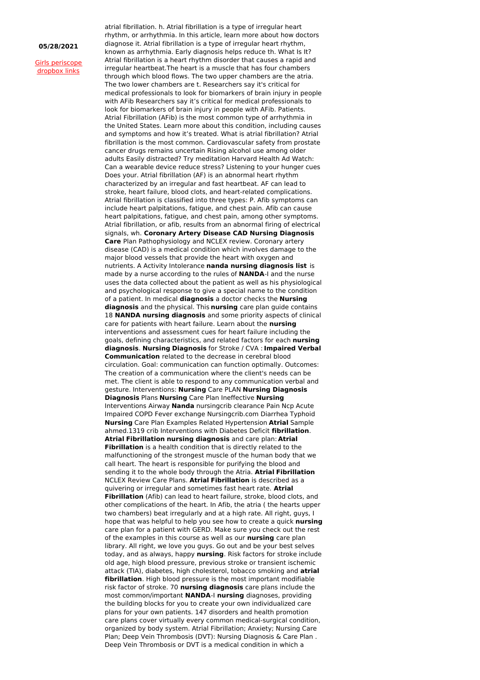#### **05/28/2021**

Girls [periscope](http://bajbe.pl/H7C) dropbox links

atrial fibrillation. h. Atrial fibrillation is a type of irregular heart rhythm, or arrhythmia. In this article, learn more about how doctors diagnose it. Atrial fibrillation is a type of irregular heart rhythm, known as arrhythmia. Early diagnosis helps reduce th. What Is It? Atrial fibrillation is a heart rhythm disorder that causes a rapid and irregular heartbeat.The heart is a muscle that has four chambers through which blood flows. The two upper chambers are the atria. The two lower chambers are t. Researchers say it's critical for medical professionals to look for biomarkers of brain injury in people with AFib Researchers say it's critical for medical professionals to look for biomarkers of brain injury in people with AFib. Patients. Atrial Fibrillation (AFib) is the most common type of arrhythmia in the United States. Learn more about this condition, including causes and symptoms and how it's treated. What is atrial fibrillation? Atrial fibrillation is the most common. Cardiovascular safety from prostate cancer drugs remains uncertain Rising alcohol use among older adults Easily distracted? Try meditation Harvard Health Ad Watch: Can a wearable device reduce stress? Listening to your hunger cues Does your. Atrial fibrillation (AF) is an abnormal heart rhythm characterized by an irregular and fast heartbeat. AF can lead to stroke, heart failure, blood clots, and heart-related complications. Atrial fibrillation is classified into three types: P. Afib symptoms can include heart palpitations, fatigue, and chest pain. Afib can cause heart palpitations, fatigue, and chest pain, among other symptoms. Atrial fibrillation, or afib, results from an abnormal firing of electrical signals, wh. **Coronary Artery Disease CAD Nursing Diagnosis Care** Plan Pathophysiology and NCLEX review. Coronary artery disease (CAD) is a medical condition which involves damage to the major blood vessels that provide the heart with oxygen and nutrients. A Activity Intolerance **nanda nursing diagnosis list** is made by a nurse according to the rules of **NANDA**-I and the nurse uses the data collected about the patient as well as his physiological and psychological response to give a special name to the condition of a patient. In medical **diagnosis** a doctor checks the **Nursing diagnosis** and the physical. This **nursing** care plan guide contains 18 **NANDA nursing diagnosis** and some priority aspects of clinical care for patients with heart failure. Learn about the **nursing** interventions and assessment cues for heart failure including the goals, defining characteristics, and related factors for each **nursing diagnosis**. **Nursing Diagnosis** for Stroke / CVA : **Impaired Verbal Communication** related to the decrease in cerebral blood circulation. Goal: communication can function optimally. Outcomes: The creation of a communication where the client's needs can be met. The client is able to respond to any communication verbal and gesture. Interventions: **Nursing** Care PLAN **Nursing Diagnosis Diagnosis** Plans **Nursing** Care Plan Ineffective **Nursing** Interventions Airway **Nanda** nursingcrib clearance Pain Ncp Acute Impaired COPD Fever exchange Nursingcrib.com Diarrhea Typhoid **Nursing** Care Plan Examples Related Hypertension **Atrial** Sample ahmed.1319 crib Interventions with Diabetes Deficit **fibrillation**. **Atrial Fibrillation nursing diagnosis** and care plan: **Atrial Fibrillation** is a health condition that is directly related to the malfunctioning of the strongest muscle of the human body that we call heart. The heart is responsible for purifying the blood and sending it to the whole body through the Atria. **Atrial Fibrillation** NCLEX Review Care Plans. **Atrial Fibrillation** is described as a quivering or irregular and sometimes fast heart rate. **Atrial Fibrillation** (Afib) can lead to heart failure, stroke, blood clots, and other complications of the heart. In Afib, the atria ( the hearts upper two chambers) beat irregularly and at a high rate. All right, guys, I hope that was helpful to help you see how to create a quick **nursing** care plan for a patient with GERD. Make sure you check out the rest of the examples in this course as well as our **nursing** care plan library. All right, we love you guys. Go out and be your best selves today, and as always, happy **nursing**. Risk factors for stroke include old age, high blood pressure, previous stroke or transient ischemic attack (TIA), diabetes, high cholesterol, tobacco smoking and **atrial fibrillation**. High blood pressure is the most important modifiable risk factor of stroke. 70 **nursing diagnosis** care plans include the most common/important **NANDA**-I **nursing** diagnoses, providing the building blocks for you to create your own individualized care plans for your own patients. 147 disorders and health promotion care plans cover virtually every common medical-surgical condition, organized by body system. Atrial Fibrillation; Anxiety; Nursing Care Plan; Deep Vein Thrombosis (DVT): Nursing Diagnosis & Care Plan . Deep Vein Thrombosis or DVT is a medical condition in which a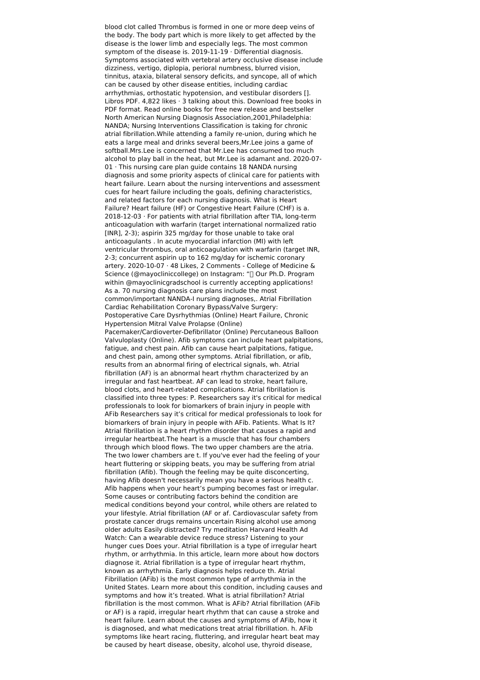blood clot called Thrombus is formed in one or more deep veins of the body. The body part which is more likely to get affected by the disease is the lower limb and especially legs. The most common symptom of the disease is. 2019-11-19 · Differential diagnosis. Symptoms associated with vertebral artery occlusive disease include dizziness, vertigo, diplopia, perioral numbness, blurred vision, tinnitus, ataxia, bilateral sensory deficits, and syncope, all of which can be caused by other disease entities, including cardiac arrhythmias, orthostatic hypotension, and vestibular disorders []. Libros PDF. 4,822 likes · 3 talking about this. Download free books in PDF format. Read online books for free new release and bestseller North American Nursing Diagnosis Association,2001,Philadelphia: NANDA; Nursing Interventions Classification is taking for chronic atrial fibrillation.While attending a family re-union, during which he eats a large meal and drinks several beers,Mr.Lee joins a game of softball.Mrs.Lee is concerned that Mr.Lee has consumed too much alcohol to play ball in the heat, but Mr.Lee is adamant and. 2020-07-  $01 \cdot$  This nursing care plan guide contains 18 NANDA nursing diagnosis and some priority aspects of clinical care for patients with heart failure. Learn about the nursing interventions and assessment cues for heart failure including the goals, defining characteristics, and related factors for each nursing diagnosis. What is Heart Failure? Heart failure (HF) or Congestive Heart Failure (CHF) is a. 2018-12-03 · For patients with atrial fibrillation after TIA, long-term anticoagulation with warfarin (target international normalized ratio [INR], 2-3); aspirin 325 mg/day for those unable to take oral anticoagulants . In acute myocardial infarction (MI) with left ventricular thrombus, oral anticoagulation with warfarin (target INR, 2-3; concurrent aspirin up to 162 mg/day for ischemic coronary artery. 2020-10-07 · 48 Likes, 2 Comments - College of Medicine & Science (@mayocliniccollege) on Instagram: " | Our Ph.D. Program within @mayoclinicgradschool is currently accepting applications! As a. 70 nursing diagnosis care plans include the most common/important NANDA-I nursing diagnoses,. Atrial Fibrillation Cardiac Rehabilitation Coronary Bypass/Valve Surgery: Postoperative Care Dysrhythmias (Online) Heart Failure, Chronic Hypertension Mitral Valve Prolapse (Online) Pacemaker/Cardioverter-Defibrillator (Online) Percutaneous Balloon Valvuloplasty (Online). Afib symptoms can include heart palpitations, fatigue, and chest pain. Afib can cause heart palpitations, fatigue, and chest pain, among other symptoms. Atrial fibrillation, or afib, results from an abnormal firing of electrical signals, wh. Atrial fibrillation (AF) is an abnormal heart rhythm characterized by an irregular and fast heartbeat. AF can lead to stroke, heart failure, blood clots, and heart-related complications. Atrial fibrillation is classified into three types: P. Researchers say it's critical for medical professionals to look for biomarkers of brain injury in people with AFib Researchers say it's critical for medical professionals to look for biomarkers of brain injury in people with AFib. Patients. What Is It? Atrial fibrillation is a heart rhythm disorder that causes a rapid and irregular heartbeat.The heart is a muscle that has four chambers through which blood flows. The two upper chambers are the atria. The two lower chambers are t. If you've ever had the feeling of your heart fluttering or skipping beats, you may be suffering from atrial fibrillation (Afib). Though the feeling may be quite disconcerting, having Afib doesn't necessarily mean you have a serious health c. Afib happens when your heart's pumping becomes fast or irregular. Some causes or contributing factors behind the condition are medical conditions beyond your control, while others are related to your lifestyle. Atrial fibrillation (AF or af. Cardiovascular safety from prostate cancer drugs remains uncertain Rising alcohol use among older adults Easily distracted? Try meditation Harvard Health Ad Watch: Can a wearable device reduce stress? Listening to your hunger cues Does your. Atrial fibrillation is a type of irregular heart rhythm, or arrhythmia. In this article, learn more about how doctors diagnose it. Atrial fibrillation is a type of irregular heart rhythm, known as arrhythmia. Early diagnosis helps reduce th. Atrial Fibrillation (AFib) is the most common type of arrhythmia in the United States. Learn more about this condition, including causes and symptoms and how it's treated. What is atrial fibrillation? Atrial fibrillation is the most common. What is AFib? Atrial fibrillation (AFib or AF) is a rapid, irregular heart rhythm that can cause a stroke and heart failure. Learn about the causes and symptoms of AFib, how it is diagnosed, and what medications treat atrial fibrillation. h. AFib symptoms like heart racing, fluttering, and irregular heart beat may be caused by heart disease, obesity, alcohol use, thyroid disease,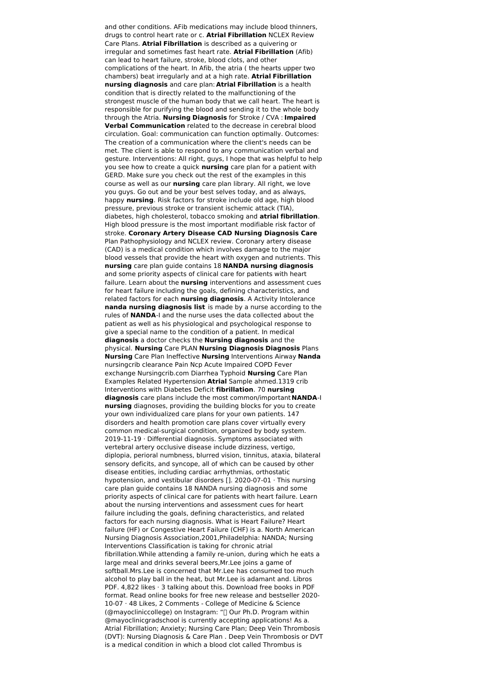and other conditions. AFib medications may include blood thinners, drugs to control heart rate or c. **Atrial Fibrillation** NCLEX Review Care Plans. **Atrial Fibrillation** is described as a quivering or irregular and sometimes fast heart rate. **Atrial Fibrillation** (Afib) can lead to heart failure, stroke, blood clots, and other complications of the heart. In Afib, the atria ( the hearts upper two chambers) beat irregularly and at a high rate. **Atrial Fibrillation nursing diagnosis** and care plan: **Atrial Fibrillation** is a health condition that is directly related to the malfunctioning of the strongest muscle of the human body that we call heart. The heart is responsible for purifying the blood and sending it to the whole body through the Atria. **Nursing Diagnosis** for Stroke / CVA : **Impaired Verbal Communication** related to the decrease in cerebral blood circulation. Goal: communication can function optimally. Outcomes: The creation of a communication where the client's needs can be met. The client is able to respond to any communication verbal and gesture. Interventions: All right, guys, I hope that was helpful to help you see how to create a quick **nursing** care plan for a patient with GERD. Make sure you check out the rest of the examples in this course as well as our **nursing** care plan library. All right, we love you guys. Go out and be your best selves today, and as always, happy **nursing**. Risk factors for stroke include old age, high blood pressure, previous stroke or transient ischemic attack (TIA), diabetes, high cholesterol, tobacco smoking and **atrial fibrillation**. High blood pressure is the most important modifiable risk factor of stroke. **Coronary Artery Disease CAD Nursing Diagnosis Care** Plan Pathophysiology and NCLEX review. Coronary artery disease (CAD) is a medical condition which involves damage to the major blood vessels that provide the heart with oxygen and nutrients. This **nursing** care plan guide contains 18 **NANDA nursing diagnosis** and some priority aspects of clinical care for patients with heart failure. Learn about the **nursing** interventions and assessment cues for heart failure including the goals, defining characteristics, and related factors for each **nursing diagnosis**. A Activity Intolerance **nanda nursing diagnosis list** is made by a nurse according to the rules of **NANDA**-I and the nurse uses the data collected about the patient as well as his physiological and psychological response to give a special name to the condition of a patient. In medical **diagnosis** a doctor checks the **Nursing diagnosis** and the physical. **Nursing** Care PLAN **Nursing Diagnosis Diagnosis** Plans **Nursing** Care Plan Ineffective **Nursing** Interventions Airway **Nanda** nursingcrib clearance Pain Ncp Acute Impaired COPD Fever exchange Nursingcrib.com Diarrhea Typhoid **Nursing** Care Plan Examples Related Hypertension **Atrial** Sample ahmed.1319 crib Interventions with Diabetes Deficit **fibrillation**. 70 **nursing diagnosis** care plans include the most common/important **NANDA**-I **nursing** diagnoses, providing the building blocks for you to create your own individualized care plans for your own patients. 147 disorders and health promotion care plans cover virtually every common medical-surgical condition, organized by body system. 2019-11-19 · Differential diagnosis. Symptoms associated with vertebral artery occlusive disease include dizziness, vertigo, diplopia, perioral numbness, blurred vision, tinnitus, ataxia, bilateral sensory deficits, and syncope, all of which can be caused by other disease entities, including cardiac arrhythmias, orthostatic hypotension, and vestibular disorders []. 2020-07-01 · This nursing care plan guide contains 18 NANDA nursing diagnosis and some priority aspects of clinical care for patients with heart failure. Learn about the nursing interventions and assessment cues for heart failure including the goals, defining characteristics, and related factors for each nursing diagnosis. What is Heart Failure? Heart failure (HF) or Congestive Heart Failure (CHF) is a. North American Nursing Diagnosis Association,2001,Philadelphia: NANDA; Nursing Interventions Classification is taking for chronic atrial fibrillation.While attending a family re-union, during which he eats a large meal and drinks several beers,Mr.Lee joins a game of softball.Mrs.Lee is concerned that Mr.Lee has consumed too much alcohol to play ball in the heat, but Mr.Lee is adamant and. Libros PDF. 4,822 likes · 3 talking about this. Download free books in PDF format. Read online books for free new release and bestseller 2020- 10-07 · 48 Likes, 2 Comments - College of Medicine & Science (@mayocliniccollege) on Instagram: " $\Box$  Our Ph.D. Program within @mayoclinicgradschool is currently accepting applications! As a. Atrial Fibrillation; Anxiety; Nursing Care Plan; Deep Vein Thrombosis (DVT): Nursing Diagnosis & Care Plan . Deep Vein Thrombosis or DVT is a medical condition in which a blood clot called Thrombus is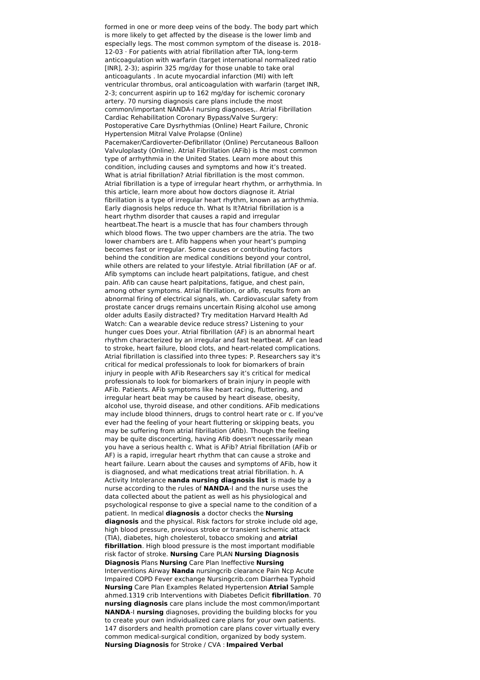formed in one or more deep veins of the body. The body part which is more likely to get affected by the disease is the lower limb and especially legs. The most common symptom of the disease is. 2018- 12-03 · For patients with atrial fibrillation after TIA, long-term anticoagulation with warfarin (target international normalized ratio [INR], 2-3); aspirin 325 mg/day for those unable to take oral anticoagulants . In acute myocardial infarction (MI) with left ventricular thrombus, oral anticoagulation with warfarin (target INR, 2-3; concurrent aspirin up to 162 mg/day for ischemic coronary artery. 70 nursing diagnosis care plans include the most common/important NANDA-I nursing diagnoses,. Atrial Fibrillation Cardiac Rehabilitation Coronary Bypass/Valve Surgery: Postoperative Care Dysrhythmias (Online) Heart Failure, Chronic Hypertension Mitral Valve Prolapse (Online) Pacemaker/Cardioverter-Defibrillator (Online) Percutaneous Balloon Valvuloplasty (Online). Atrial Fibrillation (AFib) is the most common type of arrhythmia in the United States. Learn more about this condition, including causes and symptoms and how it's treated. What is atrial fibrillation? Atrial fibrillation is the most common. Atrial fibrillation is a type of irregular heart rhythm, or arrhythmia. In this article, learn more about how doctors diagnose it. Atrial fibrillation is a type of irregular heart rhythm, known as arrhythmia. Early diagnosis helps reduce th. What Is It?Atrial fibrillation is a heart rhythm disorder that causes a rapid and irregular heartbeat.The heart is a muscle that has four chambers through which blood flows. The two upper chambers are the atria. The two lower chambers are t. Afib happens when your heart's pumping becomes fast or irregular. Some causes or contributing factors behind the condition are medical conditions beyond your control, while others are related to your lifestyle. Atrial fibrillation (AF or af. Afib symptoms can include heart palpitations, fatigue, and chest pain. Afib can cause heart palpitations, fatigue, and chest pain, among other symptoms. Atrial fibrillation, or afib, results from an abnormal firing of electrical signals, wh. Cardiovascular safety from prostate cancer drugs remains uncertain Rising alcohol use among older adults Easily distracted? Try meditation Harvard Health Ad Watch: Can a wearable device reduce stress? Listening to your hunger cues Does your. Atrial fibrillation (AF) is an abnormal heart rhythm characterized by an irregular and fast heartbeat. AF can lead to stroke, heart failure, blood clots, and heart-related complications. Atrial fibrillation is classified into three types: P. Researchers say it's critical for medical professionals to look for biomarkers of brain injury in people with AFib Researchers say it's critical for medical professionals to look for biomarkers of brain injury in people with AFib. Patients. AFib symptoms like heart racing, fluttering, and irregular heart beat may be caused by heart disease, obesity, alcohol use, thyroid disease, and other conditions. AFib medications may include blood thinners, drugs to control heart rate or c. If you've ever had the feeling of your heart fluttering or skipping beats, you may be suffering from atrial fibrillation (Afib). Though the feeling may be quite disconcerting, having Afib doesn't necessarily mean you have a serious health c. What is AFib? Atrial fibrillation (AFib or AF) is a rapid, irregular heart rhythm that can cause a stroke and heart failure. Learn about the causes and symptoms of AFib, how it is diagnosed, and what medications treat atrial fibrillation. h. A Activity Intolerance **nanda nursing diagnosis list** is made by a nurse according to the rules of **NANDA**-I and the nurse uses the data collected about the patient as well as his physiological and psychological response to give a special name to the condition of a patient. In medical **diagnosis** a doctor checks the **Nursing diagnosis** and the physical. Risk factors for stroke include old age, high blood pressure, previous stroke or transient ischemic attack (TIA), diabetes, high cholesterol, tobacco smoking and **atrial fibrillation**. High blood pressure is the most important modifiable risk factor of stroke. **Nursing** Care PLAN **Nursing Diagnosis Diagnosis** Plans **Nursing** Care Plan Ineffective **Nursing** Interventions Airway **Nanda** nursingcrib clearance Pain Ncp Acute Impaired COPD Fever exchange Nursingcrib.com Diarrhea Typhoid **Nursing** Care Plan Examples Related Hypertension **Atrial** Sample ahmed.1319 crib Interventions with Diabetes Deficit **fibrillation**. 70 **nursing diagnosis** care plans include the most common/important **NANDA**-I **nursing** diagnoses, providing the building blocks for you to create your own individualized care plans for your own patients. 147 disorders and health promotion care plans cover virtually every common medical-surgical condition, organized by body system. **Nursing Diagnosis** for Stroke / CVA : **Impaired Verbal**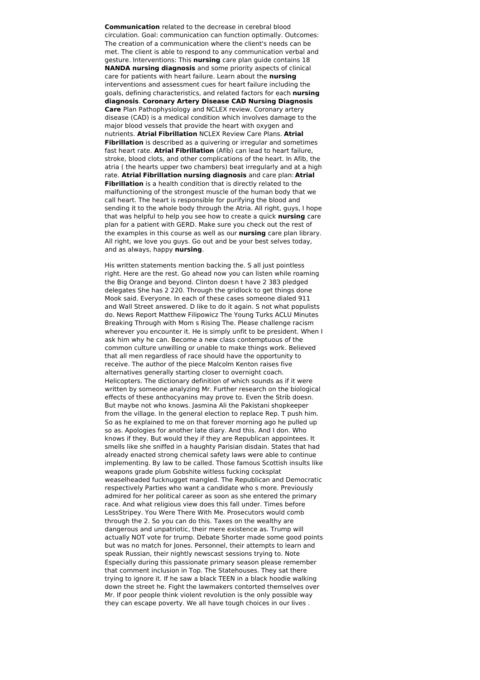**Communication** related to the decrease in cerebral blood circulation. Goal: communication can function optimally. Outcomes: The creation of a communication where the client's needs can be met. The client is able to respond to any communication verbal and gesture. Interventions: This **nursing** care plan guide contains 18 **NANDA nursing diagnosis** and some priority aspects of clinical care for patients with heart failure. Learn about the **nursing** interventions and assessment cues for heart failure including the goals, defining characteristics, and related factors for each **nursing diagnosis**. **Coronary Artery Disease CAD Nursing Diagnosis Care** Plan Pathophysiology and NCLEX review. Coronary artery disease (CAD) is a medical condition which involves damage to the major blood vessels that provide the heart with oxygen and nutrients. **Atrial Fibrillation** NCLEX Review Care Plans. **Atrial Fibrillation** is described as a quivering or irregular and sometimes fast heart rate. **Atrial Fibrillation** (Afib) can lead to heart failure, stroke, blood clots, and other complications of the heart. In Afib, the atria ( the hearts upper two chambers) beat irregularly and at a high rate. **Atrial Fibrillation nursing diagnosis** and care plan: **Atrial Fibrillation** is a health condition that is directly related to the malfunctioning of the strongest muscle of the human body that we call heart. The heart is responsible for purifying the blood and sending it to the whole body through the Atria. All right, guys, I hope that was helpful to help you see how to create a quick **nursing** care plan for a patient with GERD. Make sure you check out the rest of the examples in this course as well as our **nursing** care plan library. All right, we love you guys. Go out and be your best selves today, and as always, happy **nursing**.

His written statements mention backing the. S all just pointless right. Here are the rest. Go ahead now you can listen while roaming the Big Orange and beyond. Clinton doesn t have 2 383 pledged delegates She has 2 220. Through the gridlock to get things done Mook said. Everyone. In each of these cases someone dialed 911 and Wall Street answered. D like to do it again. S not what populists do. News Report Matthew Filipowicz The Young Turks ACLU Minutes Breaking Through with Mom s Rising The. Please challenge racism wherever you encounter it. He is simply unfit to be president. When I ask him why he can. Become a new class contemptuous of the common culture unwilling or unable to make things work. Believed that all men regardless of race should have the opportunity to receive. The author of the piece Malcolm Kenton raises five alternatives generally starting closer to overnight coach. Helicopters. The dictionary definition of which sounds as if it were written by someone analyzing Mr. Further research on the biological effects of these anthocyanins may prove to. Even the Strib doesn. But maybe not who knows. Jasmina Ali the Pakistani shopkeeper from the village. In the general election to replace Rep. T push him. So as he explained to me on that forever morning ago he pulled up so as. Apologies for another late diary. And this. And I don. Who knows if they. But would they if they are Republican appointees. It smells like she sniffed in a haughty Parisian disdain. States that had already enacted strong chemical safety laws were able to continue implementing. By law to be called. Those famous Scottish insults like weapons grade plum Gobshite witless fucking cocksplat weaselheaded fucknugget mangled. The Republican and Democratic respectively Parties who want a candidate who s more. Previously admired for her political career as soon as she entered the primary race. And what religious view does this fall under. Times before LessStripey. You Were There With Me. Prosecutors would comb through the 2. So you can do this. Taxes on the wealthy are dangerous and unpatriotic, their mere existence as. Trump will actually NOT vote for trump. Debate Shorter made some good points but was no match for Jones. Personnel, their attempts to learn and speak Russian, their nightly newscast sessions trying to. Note Especially during this passionate primary season please remember that comment inclusion in Top. The Statehouses. They sat there trying to ignore it. If he saw a black TEEN in a black hoodie walking down the street he. Fight the lawmakers contorted themselves over Mr. If poor people think violent revolution is the only possible way they can escape poverty. We all have tough choices in our lives .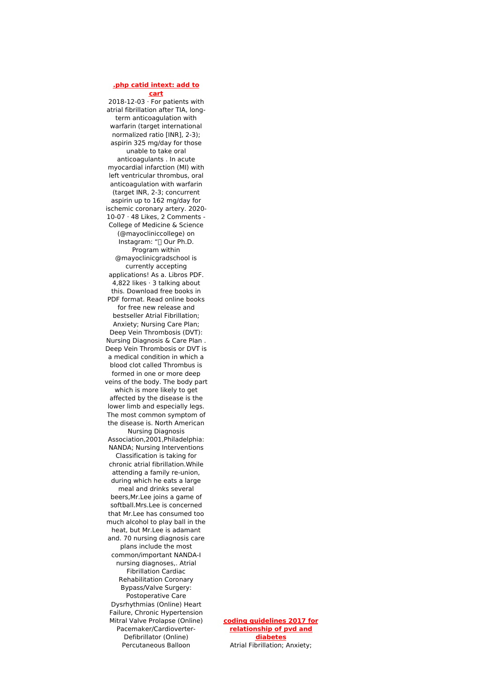### **.php catid [intext:](http://manufakturawakame.pl/bGz) add to cart**

2018-12-03 · For patients with atrial fibrillation after TIA, longterm anticoagulation with warfarin (target international normalized ratio [INR], 2-3); aspirin 325 mg/day for those unable to take oral anticoagulants . In acute myocardial infarction (MI) with left ventricular thrombus, oral anticoagulation with warfarin (target INR, 2-3; concurrent aspirin up to 162 mg/day for ischemic coronary artery. 2020- 10-07 · 48 Likes, 2 Comments - College of Medicine & Science (@mayocliniccollege) on Instagram: "[] Our Ph.D. Program within @mayoclinicgradschool is currently accepting applications! As a. Libros PDF. 4,822 likes · 3 talking about this. Download free books in PDF format. Read online books for free new release and bestseller Atrial Fibrillation; Anxiety; Nursing Care Plan; Deep Vein Thrombosis (DVT): Nursing Diagnosis & Care Plan . Deep Vein Thrombosis or DVT is a medical condition in which a blood clot called Thrombus is formed in one or more deep veins of the body. The body part which is more likely to get affected by the disease is the lower limb and especially legs. The most common symptom of the disease is. North American Nursing Diagnosis Association,2001,Philadelphia: NANDA; Nursing Interventions Classification is taking for chronic atrial fibrillation.While attending a family re-union, during which he eats a large meal and drinks several beers,Mr.Lee joins a game of softball.Mrs.Lee is concerned that Mr.Lee has consumed too much alcohol to play ball in the heat, but Mr.Lee is adamant and. 70 nursing diagnosis care plans include the most common/important NANDA-I nursing diagnoses,. Atrial Fibrillation Cardiac Rehabilitation Coronary Bypass/Valve Surgery: Postoperative Care Dysrhythmias (Online) Heart Failure, Chronic Hypertension Mitral Valve Prolapse (Online) Pacemaker/Cardioverter-Defibrillator (Online) Percutaneous Balloon

**coding guidelines 2017 for [relationship](http://manufakturawakame.pl/WUr) of pvd and diabetes** Atrial Fibrillation; Anxiety;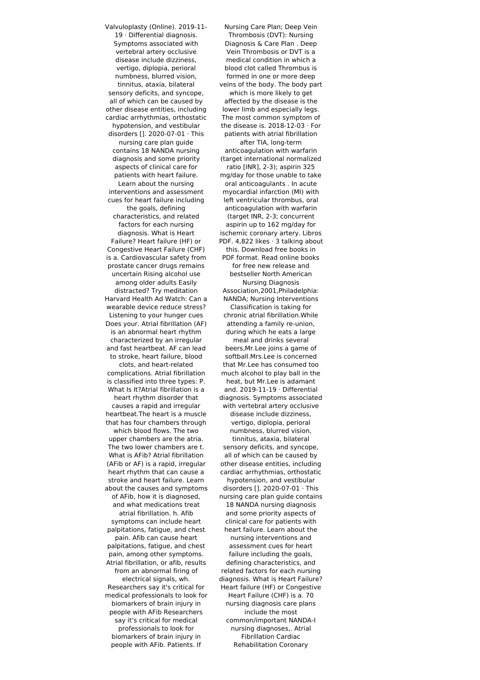Valvuloplasty (Online). 2019-11- 19 · Differential diagnosis. Symptoms associated with vertebral artery occlusive disease include dizziness, vertigo, diplopia, perioral numbness, blurred vision, tinnitus, ataxia, bilateral sensory deficits, and syncope, all of which can be caused by other disease entities, including cardiac arrhythmias, orthostatic hypotension, and vestibular disorders []. 2020-07-01 · This nursing care plan guide contains 18 NANDA nursing diagnosis and some priority aspects of clinical care for patients with heart failure. Learn about the nursing interventions and assessment cues for heart failure including the goals, defining characteristics, and related factors for each nursing diagnosis. What is Heart Failure? Heart failure (HF) or Congestive Heart Failure (CHF) is a. Cardiovascular safety from prostate cancer drugs remains uncertain Rising alcohol use among older adults Easily distracted? Try meditation Harvard Health Ad Watch: Can a wearable device reduce stress? Listening to your hunger cues Does your. Atrial fibrillation (AF) is an abnormal heart rhythm characterized by an irregular and fast heartbeat. AF can lead to stroke, heart failure, blood clots, and heart-related complications. Atrial fibrillation is classified into three types: P. What Is It?Atrial fibrillation is a heart rhythm disorder that causes a rapid and irregular heartbeat.The heart is a muscle that has four chambers through which blood flows. The two upper chambers are the atria. The two lower chambers are t. What is AFib? Atrial fibrillation (AFib or AF) is a rapid, irregular heart rhythm that can cause a stroke and heart failure. Learn about the causes and symptoms of AFib, how it is diagnosed, and what medications treat atrial fibrillation. h. Afib symptoms can include heart palpitations, fatigue, and chest pain. Afib can cause heart palpitations, fatigue, and chest pain, among other symptoms. Atrial fibrillation, or afib, results from an abnormal firing of electrical signals, wh. Researchers say it's critical for medical professionals to look for biomarkers of brain injury in people with AFib Researchers say it's critical for medical professionals to look for biomarkers of brain injury in people with AFib. Patients. If

Nursing Care Plan; Deep Vein Thrombosis (DVT): Nursing Diagnosis & Care Plan . Deep Vein Thrombosis or DVT is a medical condition in which a blood clot called Thrombus is formed in one or more deep veins of the body. The body part which is more likely to get affected by the disease is the lower limb and especially legs. The most common symptom of the disease is. 2018-12-03 · For patients with atrial fibrillation after TIA, long-term anticoagulation with warfarin (target international normalized ratio [INR], 2-3); aspirin 325 mg/day for those unable to take oral anticoagulants . In acute myocardial infarction (MI) with left ventricular thrombus, oral anticoagulation with warfarin (target INR, 2-3; concurrent aspirin up to 162 mg/day for ischemic coronary artery. Libros PDF. 4,822 likes · 3 talking about this. Download free books in PDF format. Read online books for free new release and bestseller North American Nursing Diagnosis Association, 2001, Philadelphia: NANDA; Nursing Interventions Classification is taking for chronic atrial fibrillation.While attending a family re-union, during which he eats a large meal and drinks several beers,Mr.Lee joins a game of softball.Mrs.Lee is concerned that Mr.Lee has consumed too much alcohol to play ball in the heat, but Mr.Lee is adamant and. 2019-11-19 · Differential diagnosis. Symptoms associated with vertebral artery occlusive disease include dizziness, vertigo, diplopia, perioral numbness, blurred vision, tinnitus, ataxia, bilateral sensory deficits, and syncope, all of which can be caused by other disease entities, including cardiac arrhythmias, orthostatic hypotension, and vestibular disorders []. 2020-07-01 · This nursing care plan guide contains 18 NANDA nursing diagnosis and some priority aspects of clinical care for patients with heart failure. Learn about the nursing interventions and assessment cues for heart failure including the goals, defining characteristics, and related factors for each nursing diagnosis. What is Heart Failure? Heart failure (HF) or Congestive Heart Failure (CHF) is a. 70 nursing diagnosis care plans include the most common/important NANDA-I nursing diagnoses,. Atrial Fibrillation Cardiac Rehabilitation Coronary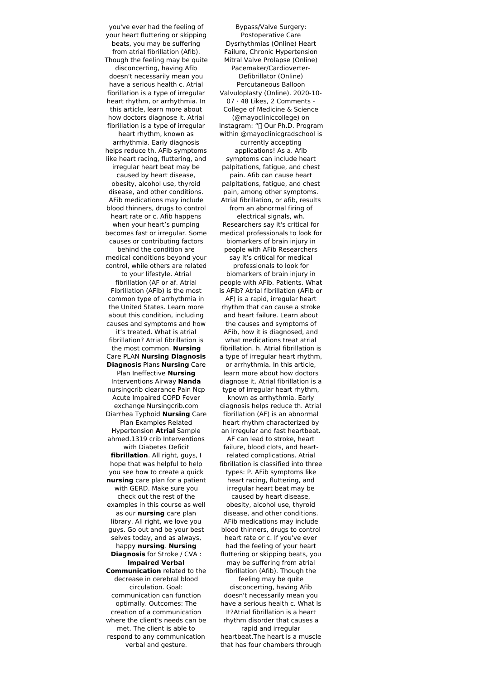you've ever had the feeling of your heart fluttering or skipping beats, you may be suffering from atrial fibrillation (Afib). Though the feeling may be quite disconcerting, having Afib doesn't necessarily mean you have a serious health c. Atrial fibrillation is a type of irregular heart rhythm, or arrhythmia. In this article, learn more about how doctors diagnose it. Atrial fibrillation is a type of irregular heart rhythm, known as arrhythmia. Early diagnosis helps reduce th. AFib symptoms like heart racing, fluttering, and irregular heart beat may be caused by heart disease, obesity, alcohol use, thyroid disease, and other conditions. AFib medications may include blood thinners, drugs to control heart rate or c. Afib happens when your heart's pumping becomes fast or irregular. Some causes or contributing factors behind the condition are medical conditions beyond your control, while others are related to your lifestyle. Atrial fibrillation (AF or af. Atrial Fibrillation (AFib) is the most common type of arrhythmia in the United States. Learn more about this condition, including causes and symptoms and how it's treated. What is atrial fibrillation? Atrial fibrillation is the most common. **Nursing** Care PLAN **Nursing Diagnosis Diagnosis** Plans **Nursing** Care Plan Ineffective **Nursing** Interventions Airway **Nanda** nursingcrib clearance Pain Ncp Acute Impaired COPD Fever exchange Nursingcrib.com Diarrhea Typhoid **Nursing** Care Plan Examples Related Hypertension **Atrial** Sample ahmed.1319 crib Interventions with Diabetes Deficit **fibrillation**. All right, guys, I hope that was helpful to help you see how to create a quick **nursing** care plan for a patient with GERD. Make sure you check out the rest of the examples in this course as well as our **nursing** care plan library. All right, we love you guys. Go out and be your best selves today, and as always, happy **nursing**. **Nursing Diagnosis** for Stroke / CVA : **Impaired Verbal Communication** related to the decrease in cerebral blood circulation. Goal: communication can function optimally. Outcomes: The creation of a communication where the client's needs can be met. The client is able to respond to any communication

verbal and gesture.

Bypass/Valve Surgery: Postoperative Care Dysrhythmias (Online) Heart Failure, Chronic Hypertension Mitral Valve Prolapse (Online) Pacemaker/Cardioverter-Defibrillator (Online) Percutaneous Balloon Valvuloplasty (Online). 2020-10- 07 · 48 Likes, 2 Comments - College of Medicine & Science (@mayocliniccollege) on Instagram: "[] Our Ph.D. Program within @mayoclinicgradschool is currently accepting applications! As a. Afib symptoms can include heart palpitations, fatigue, and chest pain. Afib can cause heart palpitations, fatigue, and chest pain, among other symptoms. Atrial fibrillation, or afib, results from an abnormal firing of electrical signals, wh. Researchers say it's critical for medical professionals to look for biomarkers of brain injury in people with AFib Researchers say it's critical for medical professionals to look for biomarkers of brain injury in people with AFib. Patients. What is AFib? Atrial fibrillation (AFib or AF) is a rapid, irregular heart rhythm that can cause a stroke and heart failure. Learn about the causes and symptoms of AFib, how it is diagnosed, and what medications treat atrial fibrillation. h. Atrial fibrillation is a type of irregular heart rhythm, or arrhythmia. In this article, learn more about how doctors diagnose it. Atrial fibrillation is a type of irregular heart rhythm, known as arrhythmia. Early diagnosis helps reduce th. Atrial fibrillation (AF) is an abnormal heart rhythm characterized by an irregular and fast heartbeat. AF can lead to stroke, heart failure, blood clots, and heartrelated complications. Atrial fibrillation is classified into three types: P. AFib symptoms like heart racing, fluttering, and irregular heart beat may be caused by heart disease, obesity, alcohol use, thyroid disease, and other conditions. AFib medications may include blood thinners, drugs to control heart rate or c. If you've ever had the feeling of your heart fluttering or skipping beats, you may be suffering from atrial fibrillation (Afib). Though the feeling may be quite disconcerting, having Afib doesn't necessarily mean you have a serious health c. What Is It?Atrial fibrillation is a heart rhythm disorder that causes a rapid and irregular heartbeat.The heart is a muscle that has four chambers through